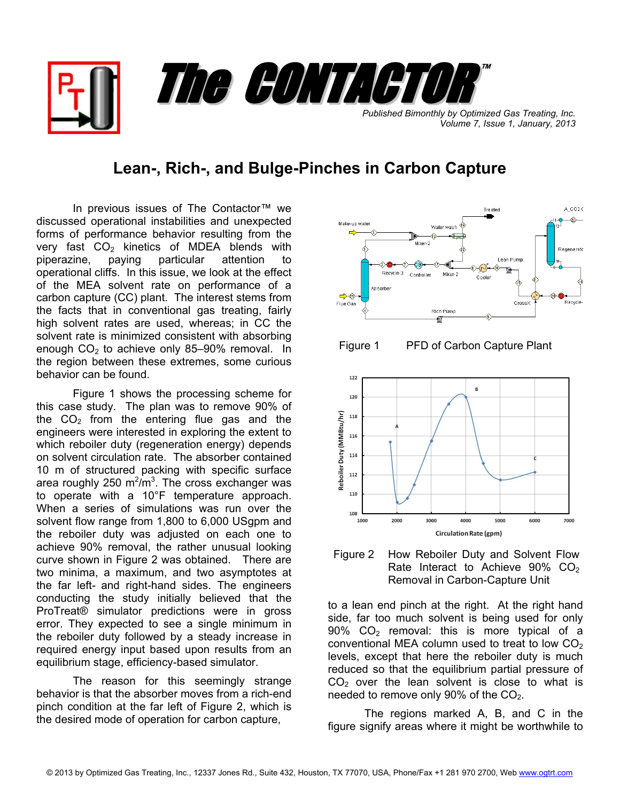**Published Bimonthly by Optimized Gas Treating, Inc.** *Volume 7, Issue 1, January, 2013*

™

## **Lean-, Rich-, and Bulge-Pinches in Carbon Capture**

The CONTACTOR

In previous issues of The Contactor™ we discussed operational instabilities and unexpected forms of performance behavior resulting from the very fast  $CO<sub>2</sub>$  kinetics of MDEA blends with piperazine, paying particular attention to operational cliffs. In this issue, we look at the effect of the MEA solvent rate on performance of a carbon capture (CC) plant. The interest stems from the facts that in conventional gas treating, fairly high solvent rates are used, whereas; in CC the solvent rate is minimized consistent with absorbing enough  $CO<sub>2</sub>$  to achieve only 85–90% removal. In the region between these extremes, some curious behavior can be found.

Figure 1 shows the processing scheme for this case study. The plan was to remove 90% of the  $CO<sub>2</sub>$  from the entering flue gas and the engineers were interested in exploring the extent to which reboiler duty (regeneration energy) depends on solvent circulation rate. The absorber contained 10 m of structured packing with specific surface area roughly 250  $m^2/m^3$ . The cross exchanger was to operate with a 10°F temperature approach. When a series of simulations was run over the solvent flow range from 1,800 to 6,000 USgpm and the reboiler duty was adjusted on each one to achieve 90% removal, the rather unusual looking curve shown in Figure 2 was obtained. There are two minima, a maximum, and two asymptotes at the far left- and right-hand sides. The engineers conducting the study initially believed that the ProTreat® simulator predictions were in gross error. They expected to see a single minimum in the reboiler duty followed by a steady increase in required energy input based upon results from an equilibrium stage, efficiency-based simulator.

The reason for this seemingly strange behavior is that the absorber moves from a rich-end pinch condition at the far left of Figure 2, which is the desired mode of operation for carbon capture,



Figure 1 PFD of Carbon Capture Plant



Figure 2 How Reboiler Duty and Solvent Flow Rate Interact to Achieve 90% CO<sub>2</sub> Re moval in Carbon-Capture Unit

to a lean end pinch at the right. At the right hand side, far too much solvent is being used for only 90%  $CO<sub>2</sub>$  removal: this is more typical of a conventional MEA column used to treat to low  $CO<sub>2</sub>$ levels, except that here the reboiler duty is much reduced so that the equilibrium partial pressure of  $CO<sub>2</sub>$  over the lean solvent is close to what is needed to remove only  $90\%$  of the  $CO<sub>2</sub>$ .

The regions marked  $A$ ,  $B$ , and  $C$  in the figure signify areas where it might be worthwhile to